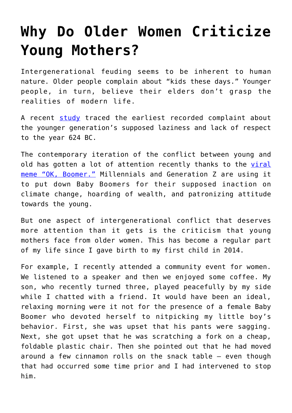## **[Why Do Older Women Criticize](https://intellectualtakeout.org/2019/11/why-do-older-women-criticize-young-mothers/) [Young Mothers?](https://intellectualtakeout.org/2019/11/why-do-older-women-criticize-young-mothers/)**

Intergenerational feuding seems to be inherent to human nature. Older people complain about "kids these days." Younger people, in turn, believe their elders don't grasp the realities of modern life.

A recent [study](https://advances.sciencemag.org/content/5/10/eaav5916/tab-pdf) traced the earliest recorded complaint about the younger generation's supposed laziness and lack of respect to the year 624 BC.

The contemporary iteration of the conflict between young and old has gotten a lot of attention recently thanks to the [viral](https://www.intellectualtakeout.org/article/ok-boomer-meme-comes-place-insecurity) [meme "OK, Boomer."](https://www.intellectualtakeout.org/article/ok-boomer-meme-comes-place-insecurity) Millennials and Generation Z are using it to put down Baby Boomers for their supposed inaction on climate change, hoarding of wealth, and patronizing attitude towards the young.

But one aspect of intergenerational conflict that deserves more attention than it gets is the criticism that young mothers face from older women. This has become a regular part of my life since I gave birth to my first child in 2014.

For example, I recently attended a community event for women. We listened to a speaker and then we enjoyed some coffee. My son, who recently turned three, played peacefully by my side while I chatted with a friend. It would have been an ideal, relaxing morning were it not for the presence of a female Baby Boomer who devoted herself to nitpicking my little boy's behavior. First, she was upset that his pants were sagging. Next, she got upset that he was scratching a fork on a cheap, foldable plastic chair. Then she pointed out that he had moved around a few cinnamon rolls on the snack table – even though that had occurred some time prior and I had intervened to stop him.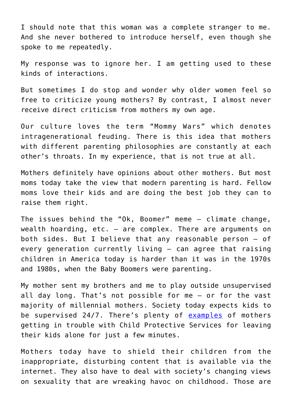I should note that this woman was a complete stranger to me. And she never bothered to introduce herself, even though she spoke to me repeatedly.

My response was to ignore her. I am getting used to these kinds of interactions.

But sometimes I do stop and wonder why older women feel so free to criticize young mothers? By contrast, I almost never receive direct criticism from mothers my own age.

Our culture loves the term "Mommy Wars" which denotes intragenerational feuding. There is this idea that mothers with different parenting philosophies are constantly at each other's throats. In my experience, that is not true at all.

Mothers definitely have opinions about other mothers. But most moms today take the view that modern parenting is hard. Fellow moms love their kids and are doing the best job they can to raise them right.

The issues behind the "Ok, Boomer" meme – climate change, wealth hoarding, etc. – are complex. There are arguments on both sides. But I believe that any reasonable person – of every generation currently living – can agree that raising children in America today is harder than it was in the 1970s and 1980s, when the Baby Boomers were parenting.

My mother sent my brothers and me to play outside unsupervised all day long. That's not possible for me – or for the vast majority of millennial mothers. Society today expects kids to be supervised 24/7. There's plenty of **[examples](https://reason.com/2016/08/31/mom-briefly-left-kids-alone-while-she-gr/)** of mothers getting in trouble with Child Protective Services for leaving their kids alone for just a few minutes.

Mothers today have to shield their children from the inappropriate, disturbing content that is available via the internet. They also have to deal with society's changing views on sexuality that are wreaking havoc on childhood. Those are